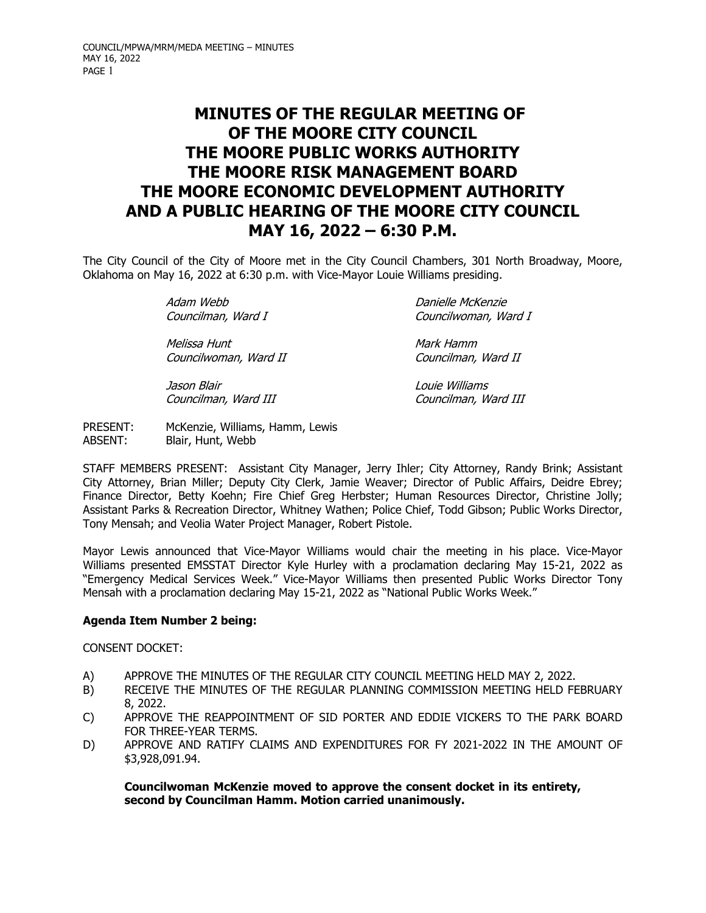# **MINUTES OF THE REGULAR MEETING OF OF THE MOORE CITY COUNCIL THE MOORE PUBLIC WORKS AUTHORITY THE MOORE RISK MANAGEMENT BOARD THE MOORE ECONOMIC DEVELOPMENT AUTHORITY AND A PUBLIC HEARING OF THE MOORE CITY COUNCIL MAY 16, 2022 – 6:30 P.M.**

The City Council of the City of Moore met in the City Council Chambers, 301 North Broadway, Moore, Oklahoma on May 16, 2022 at 6:30 p.m. with Vice-Mayor Louie Williams presiding.

Adam Webb **Danielle McKenzie** 

Melissa Hunt **Mark Hamm** Councilwoman, Ward II Councilman, Ward II

Jason Blair Louie Williams

Councilman, Ward I Councilwoman, Ward I

Councilman, Ward III Councilman, Ward III

PRESENT: McKenzie, Williams, Hamm, Lewis ABSENT: Blair, Hunt, Webb

STAFF MEMBERS PRESENT: Assistant City Manager, Jerry Ihler; City Attorney, Randy Brink; Assistant City Attorney, Brian Miller; Deputy City Clerk, Jamie Weaver; Director of Public Affairs, Deidre Ebrey; Finance Director, Betty Koehn; Fire Chief Greg Herbster; Human Resources Director, Christine Jolly; Assistant Parks & Recreation Director, Whitney Wathen; Police Chief, Todd Gibson; Public Works Director, Tony Mensah; and Veolia Water Project Manager, Robert Pistole.

Mayor Lewis announced that Vice-Mayor Williams would chair the meeting in his place. Vice-Mayor Williams presented EMSSTAT Director Kyle Hurley with a proclamation declaring May 15-21, 2022 as "Emergency Medical Services Week." Vice-Mayor Williams then presented Public Works Director Tony Mensah with a proclamation declaring May 15-21, 2022 as "National Public Works Week."

# **Agenda Item Number 2 being:**

CONSENT DOCKET:

- A) APPROVE THE MINUTES OF THE REGULAR CITY COUNCIL MEETING HELD MAY 2, 2022.
- B) RECEIVE THE MINUTES OF THE REGULAR PLANNING COMMISSION MEETING HELD FEBRUARY 8, 2022.
- C) APPROVE THE REAPPOINTMENT OF SID PORTER AND EDDIE VICKERS TO THE PARK BOARD FOR THREE-YEAR TERMS.
- D) APPROVE AND RATIFY CLAIMS AND EXPENDITURES FOR FY 2021-2022 IN THE AMOUNT OF \$3,928,091.94.

 **Councilwoman McKenzie moved to approve the consent docket in its entirety, second by Councilman Hamm. Motion carried unanimously.**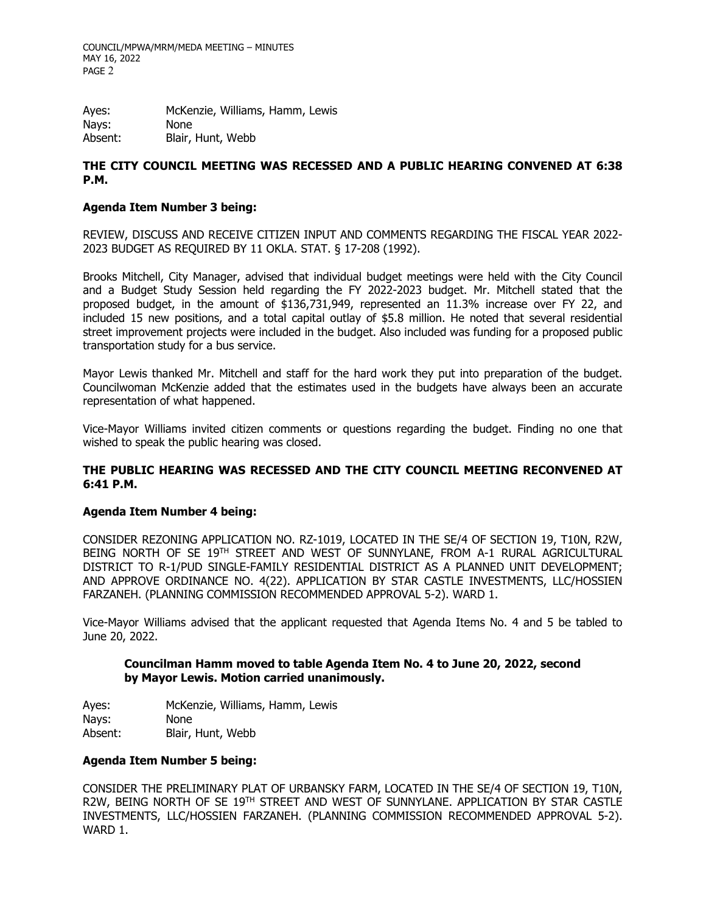COUNCIL/MPWA/MRM/MEDA MEETING – MINUTES MAY 16, 2022 PAGE 2

Ayes: McKenzie, Williams, Hamm, Lewis Nays: None Absent: Blair, Hunt, Webb

# **THE CITY COUNCIL MEETING WAS RECESSED AND A PUBLIC HEARING CONVENED AT 6:38 P.M.**

## **Agenda Item Number 3 being:**

REVIEW, DISCUSS AND RECEIVE CITIZEN INPUT AND COMMENTS REGARDING THE FISCAL YEAR 2022- 2023 BUDGET AS REQUIRED BY 11 OKLA. STAT. § 17-208 (1992).

Brooks Mitchell, City Manager, advised that individual budget meetings were held with the City Council and a Budget Study Session held regarding the FY 2022-2023 budget. Mr. Mitchell stated that the proposed budget, in the amount of \$136,731,949, represented an 11.3% increase over FY 22, and included 15 new positions, and a total capital outlay of \$5.8 million. He noted that several residential street improvement projects were included in the budget. Also included was funding for a proposed public transportation study for a bus service.

Mayor Lewis thanked Mr. Mitchell and staff for the hard work they put into preparation of the budget. Councilwoman McKenzie added that the estimates used in the budgets have always been an accurate representation of what happened.

Vice-Mayor Williams invited citizen comments or questions regarding the budget. Finding no one that wished to speak the public hearing was closed.

## **THE PUBLIC HEARING WAS RECESSED AND THE CITY COUNCIL MEETING RECONVENED AT 6:41 P.M.**

#### **Agenda Item Number 4 being:**

CONSIDER REZONING APPLICATION NO. RZ-1019, LOCATED IN THE SE/4 OF SECTION 19, T10N, R2W, BEING NORTH OF SE 19TH STREET AND WEST OF SUNNYLANE, FROM A-1 RURAL AGRICULTURAL DISTRICT TO R-1/PUD SINGLE-FAMILY RESIDENTIAL DISTRICT AS A PLANNED UNIT DEVELOPMENT; AND APPROVE ORDINANCE NO. 4(22). APPLICATION BY STAR CASTLE INVESTMENTS, LLC/HOSSIEN FARZANEH. (PLANNING COMMISSION RECOMMENDED APPROVAL 5-2). WARD 1.

Vice-Mayor Williams advised that the applicant requested that Agenda Items No. 4 and 5 be tabled to June 20, 2022.

## **Councilman Hamm moved to table Agenda Item No. 4 to June 20, 2022, second by Mayor Lewis. Motion carried unanimously.**

Ayes: McKenzie, Williams, Hamm, Lewis Nays: None Absent: Blair, Hunt, Webb

#### **Agenda Item Number 5 being:**

CONSIDER THE PRELIMINARY PLAT OF URBANSKY FARM, LOCATED IN THE SE/4 OF SECTION 19, T10N, R2W, BEING NORTH OF SE 19<sup>TH</sup> STREET AND WEST OF SUNNYLANE. APPLICATION BY STAR CASTLE INVESTMENTS, LLC/HOSSIEN FARZANEH. (PLANNING COMMISSION RECOMMENDED APPROVAL 5-2). WARD 1.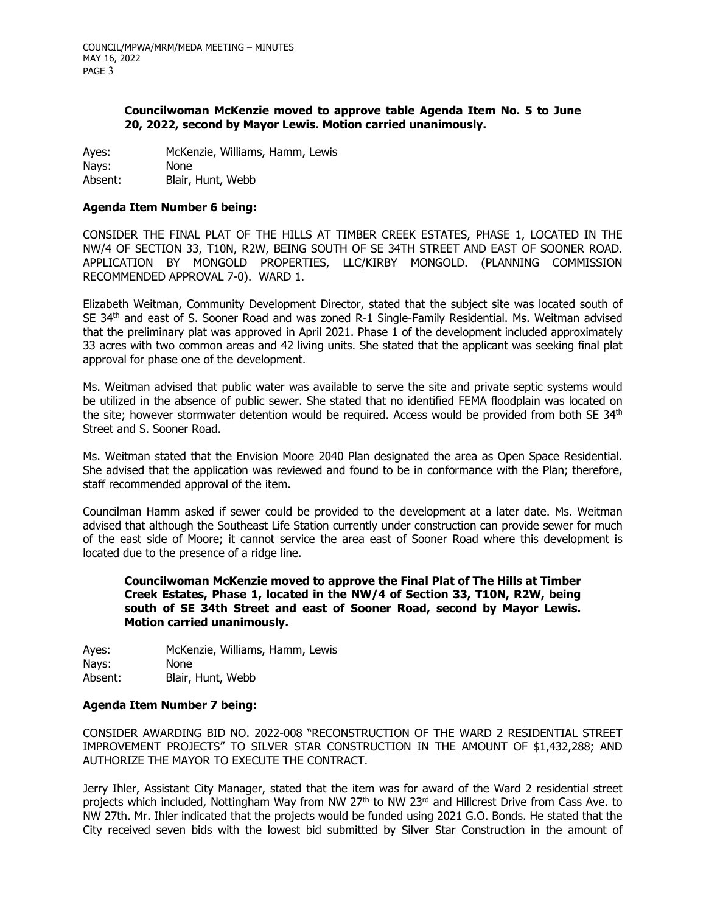## **Councilwoman McKenzie moved to approve table Agenda Item No. 5 to June 20, 2022, second by Mayor Lewis. Motion carried unanimously.**

Ayes: McKenzie, Williams, Hamm, Lewis Nays: None Absent: Blair, Hunt, Webb

#### **Agenda Item Number 6 being:**

CONSIDER THE FINAL PLAT OF THE HILLS AT TIMBER CREEK ESTATES, PHASE 1, LOCATED IN THE NW/4 OF SECTION 33, T10N, R2W, BEING SOUTH OF SE 34TH STREET AND EAST OF SOONER ROAD. APPLICATION BY MONGOLD PROPERTIES, LLC/KIRBY MONGOLD. (PLANNING COMMISSION RECOMMENDED APPROVAL 7-0). WARD 1.

Elizabeth Weitman, Community Development Director, stated that the subject site was located south of SE 34<sup>th</sup> and east of S. Sooner Road and was zoned R-1 Single-Family Residential. Ms. Weitman advised that the preliminary plat was approved in April 2021. Phase 1 of the development included approximately 33 acres with two common areas and 42 living units. She stated that the applicant was seeking final plat approval for phase one of the development.

Ms. Weitman advised that public water was available to serve the site and private septic systems would be utilized in the absence of public sewer. She stated that no identified FEMA floodplain was located on the site; however stormwater detention would be required. Access would be provided from both SE 34<sup>th</sup> Street and S. Sooner Road.

Ms. Weitman stated that the Envision Moore 2040 Plan designated the area as Open Space Residential. She advised that the application was reviewed and found to be in conformance with the Plan; therefore, staff recommended approval of the item.

Councilman Hamm asked if sewer could be provided to the development at a later date. Ms. Weitman advised that although the Southeast Life Station currently under construction can provide sewer for much of the east side of Moore; it cannot service the area east of Sooner Road where this development is located due to the presence of a ridge line.

## **Councilwoman McKenzie moved to approve the Final Plat of The Hills at Timber Creek Estates, Phase 1, located in the NW/4 of Section 33, T10N, R2W, being south of SE 34th Street and east of Sooner Road, second by Mayor Lewis. Motion carried unanimously.**

Ayes: McKenzie, Williams, Hamm, Lewis Nays: None Absent: Blair, Hunt, Webb

#### **Agenda Item Number 7 being:**

CONSIDER AWARDING BID NO. 2022-008 "RECONSTRUCTION OF THE WARD 2 RESIDENTIAL STREET IMPROVEMENT PROJECTS" TO SILVER STAR CONSTRUCTION IN THE AMOUNT OF \$1,432,288; AND AUTHORIZE THE MAYOR TO EXECUTE THE CONTRACT.

Jerry Ihler, Assistant City Manager, stated that the item was for award of the Ward 2 residential street projects which included, Nottingham Way from NW 27<sup>th</sup> to NW 23<sup>rd</sup> and Hillcrest Drive from Cass Ave. to NW 27th. Mr. Ihler indicated that the projects would be funded using 2021 G.O. Bonds. He stated that the City received seven bids with the lowest bid submitted by Silver Star Construction in the amount of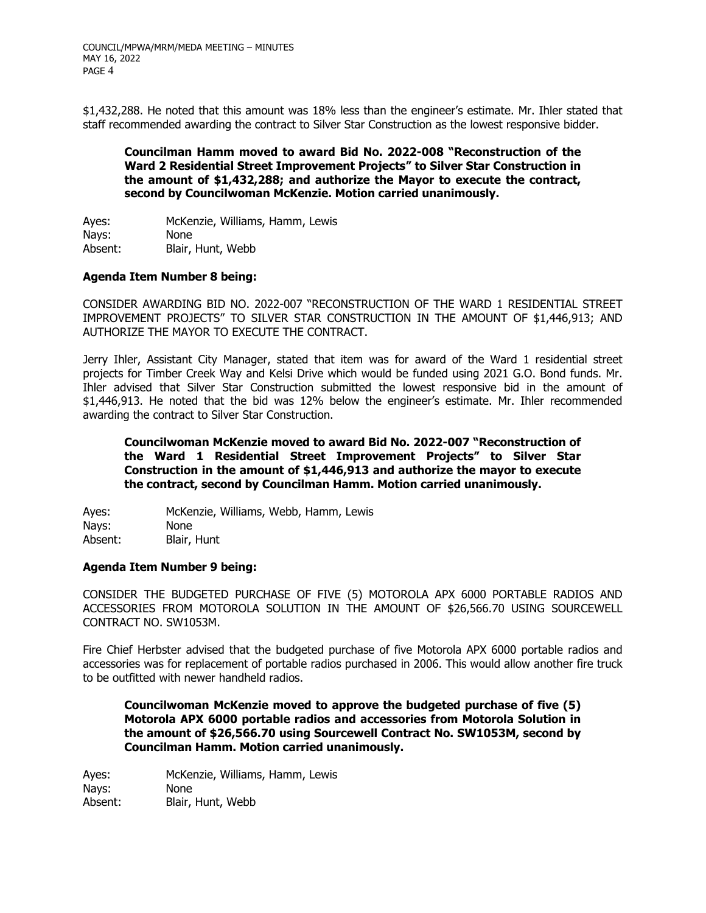\$1,432,288. He noted that this amount was 18% less than the engineer's estimate. Mr. Ihler stated that staff recommended awarding the contract to Silver Star Construction as the lowest responsive bidder.

## **Councilman Hamm moved to award Bid No. 2022-008 "Reconstruction of the Ward 2 Residential Street Improvement Projects" to Silver Star Construction in the amount of \$1,432,288; and authorize the Mayor to execute the contract, second by Councilwoman McKenzie. Motion carried unanimously.**

Ayes: McKenzie, Williams, Hamm, Lewis Nays: None Absent: Blair, Hunt, Webb

## **Agenda Item Number 8 being:**

CONSIDER AWARDING BID NO. 2022-007 "RECONSTRUCTION OF THE WARD 1 RESIDENTIAL STREET IMPROVEMENT PROJECTS" TO SILVER STAR CONSTRUCTION IN THE AMOUNT OF \$1,446,913; AND AUTHORIZE THE MAYOR TO EXECUTE THE CONTRACT.

Jerry Ihler, Assistant City Manager, stated that item was for award of the Ward 1 residential street projects for Timber Creek Way and Kelsi Drive which would be funded using 2021 G.O. Bond funds. Mr. Ihler advised that Silver Star Construction submitted the lowest responsive bid in the amount of \$1,446,913. He noted that the bid was 12% below the engineer's estimate. Mr. Ihler recommended awarding the contract to Silver Star Construction.

**Councilwoman McKenzie moved to award Bid No. 2022-007 "Reconstruction of the Ward 1 Residential Street Improvement Projects" to Silver Star Construction in the amount of \$1,446,913 and authorize the mayor to execute the contract, second by Councilman Hamm. Motion carried unanimously.**

Ayes: McKenzie, Williams, Webb, Hamm, Lewis Nays: None Absent: Blair, Hunt

# **Agenda Item Number 9 being:**

CONSIDER THE BUDGETED PURCHASE OF FIVE (5) MOTOROLA APX 6000 PORTABLE RADIOS AND ACCESSORIES FROM MOTOROLA SOLUTION IN THE AMOUNT OF \$26,566.70 USING SOURCEWELL CONTRACT NO. SW1053M.

Fire Chief Herbster advised that the budgeted purchase of five Motorola APX 6000 portable radios and accessories was for replacement of portable radios purchased in 2006. This would allow another fire truck to be outfitted with newer handheld radios.

**Councilwoman McKenzie moved to approve the budgeted purchase of five (5) Motorola APX 6000 portable radios and accessories from Motorola Solution in the amount of \$26,566.70 using Sourcewell Contract No. SW1053M, second by Councilman Hamm. Motion carried unanimously.**

Ayes: McKenzie, Williams, Hamm, Lewis Nays: None Absent: Blair, Hunt, Webb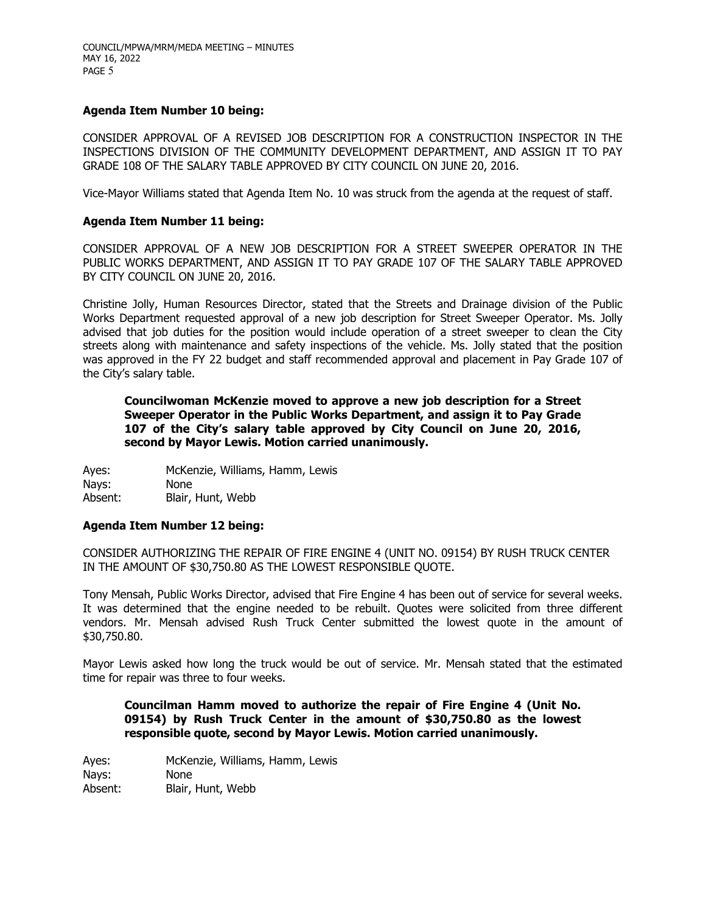## **Agenda Item Number 10 being:**

CONSIDER APPROVAL OF A REVISED JOB DESCRIPTION FOR A CONSTRUCTION INSPECTOR IN THE INSPECTIONS DIVISION OF THE COMMUNITY DEVELOPMENT DEPARTMENT, AND ASSIGN IT TO PAY GRADE 108 OF THE SALARY TABLE APPROVED BY CITY COUNCIL ON JUNE 20, 2016.

Vice-Mayor Williams stated that Agenda Item No. 10 was struck from the agenda at the request of staff.

#### **Agenda Item Number 11 being:**

CONSIDER APPROVAL OF A NEW JOB DESCRIPTION FOR A STREET SWEEPER OPERATOR IN THE PUBLIC WORKS DEPARTMENT, AND ASSIGN IT TO PAY GRADE 107 OF THE SALARY TABLE APPROVED BY CITY COUNCIL ON JUNE 20, 2016.

Christine Jolly, Human Resources Director, stated that the Streets and Drainage division of the Public Works Department requested approval of a new job description for Street Sweeper Operator. Ms. Jolly advised that job duties for the position would include operation of a street sweeper to clean the City streets along with maintenance and safety inspections of the vehicle. Ms. Jolly stated that the position was approved in the FY 22 budget and staff recommended approval and placement in Pay Grade 107 of the City's salary table.

**Councilwoman McKenzie moved to approve a new job description for a Street Sweeper Operator in the Public Works Department, and assign it to Pay Grade 107 of the City's salary table approved by City Council on June 20, 2016, second by Mayor Lewis. Motion carried unanimously.**

Ayes: McKenzie, Williams, Hamm, Lewis Nays: None Absent: Blair, Hunt, Webb

#### **Agenda Item Number 12 being:**

CONSIDER AUTHORIZING THE REPAIR OF FIRE ENGINE 4 (UNIT NO. 09154) BY RUSH TRUCK CENTER IN THE AMOUNT OF \$30,750.80 AS THE LOWEST RESPONSIBLE QUOTE.

Tony Mensah, Public Works Director, advised that Fire Engine 4 has been out of service for several weeks. It was determined that the engine needed to be rebuilt. Quotes were solicited from three different vendors. Mr. Mensah advised Rush Truck Center submitted the lowest quote in the amount of \$30,750.80.

Mayor Lewis asked how long the truck would be out of service. Mr. Mensah stated that the estimated time for repair was three to four weeks.

**Councilman Hamm moved to authorize the repair of Fire Engine 4 (Unit No. 09154) by Rush Truck Center in the amount of \$30,750.80 as the lowest responsible quote, second by Mayor Lewis. Motion carried unanimously.**

Ayes: McKenzie, Williams, Hamm, Lewis Nays: None Absent: Blair, Hunt, Webb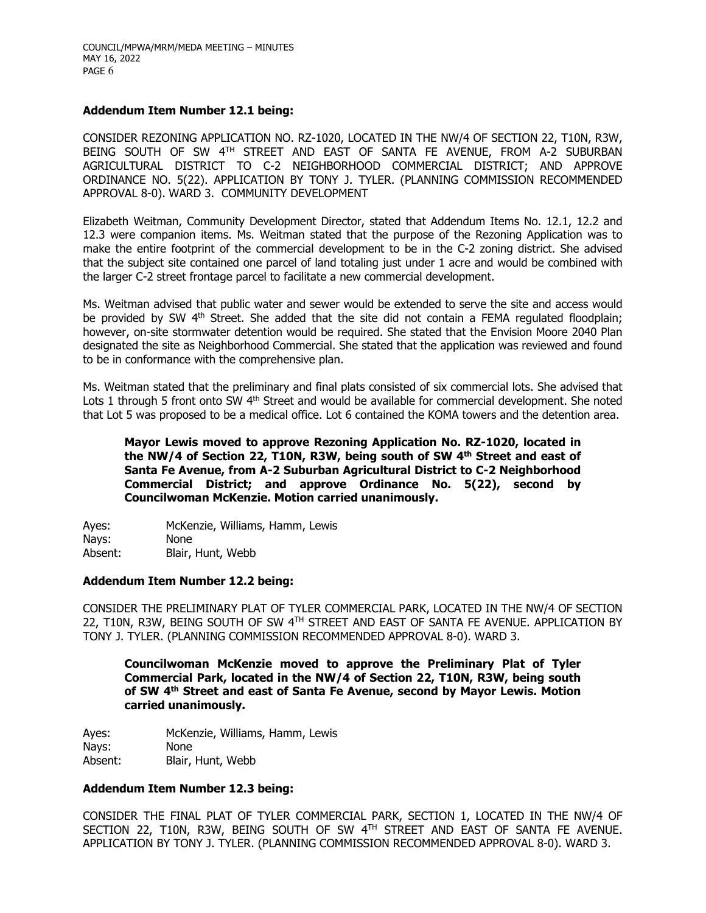#### **Addendum Item Number 12.1 being:**

CONSIDER REZONING APPLICATION NO. RZ-1020, LOCATED IN THE NW/4 OF SECTION 22, T10N, R3W, BEING SOUTH OF SW 4TH STREET AND EAST OF SANTA FE AVENUE, FROM A-2 SUBURBAN AGRICULTURAL DISTRICT TO C-2 NEIGHBORHOOD COMMERCIAL DISTRICT; AND APPROVE ORDINANCE NO. 5(22). APPLICATION BY TONY J. TYLER. (PLANNING COMMISSION RECOMMENDED APPROVAL 8-0). WARD 3. COMMUNITY DEVELOPMENT

Elizabeth Weitman, Community Development Director, stated that Addendum Items No. 12.1, 12.2 and 12.3 were companion items. Ms. Weitman stated that the purpose of the Rezoning Application was to make the entire footprint of the commercial development to be in the C-2 zoning district. She advised that the subject site contained one parcel of land totaling just under 1 acre and would be combined with the larger C-2 street frontage parcel to facilitate a new commercial development.

Ms. Weitman advised that public water and sewer would be extended to serve the site and access would be provided by SW  $4<sup>th</sup>$  Street. She added that the site did not contain a FEMA regulated floodplain; however, on-site stormwater detention would be required. She stated that the Envision Moore 2040 Plan designated the site as Neighborhood Commercial. She stated that the application was reviewed and found to be in conformance with the comprehensive plan.

Ms. Weitman stated that the preliminary and final plats consisted of six commercial lots. She advised that Lots 1 through 5 front onto SW 4<sup>th</sup> Street and would be available for commercial development. She noted that Lot 5 was proposed to be a medical office. Lot 6 contained the KOMA towers and the detention area.

**Mayor Lewis moved to approve Rezoning Application No. RZ-1020, located in**  the NW/4 of Section 22, T10N, R3W, being south of SW 4<sup>th</sup> Street and east of **Santa Fe Avenue, from A-2 Suburban Agricultural District to C-2 Neighborhood Commercial District; and approve Ordinance No. 5(22), second by Councilwoman McKenzie. Motion carried unanimously.**

Ayes: McKenzie, Williams, Hamm, Lewis Nays: None Absent: Blair, Hunt, Webb

#### **Addendum Item Number 12.2 being:**

CONSIDER THE PRELIMINARY PLAT OF TYLER COMMERCIAL PARK, LOCATED IN THE NW/4 OF SECTION 22, T10N, R3W, BEING SOUTH OF SW 4TH STREET AND EAST OF SANTA FE AVENUE. APPLICATION BY TONY J. TYLER. (PLANNING COMMISSION RECOMMENDED APPROVAL 8-0). WARD 3.

**Councilwoman McKenzie moved to approve the Preliminary Plat of Tyler Commercial Park, located in the NW/4 of Section 22, T10N, R3W, being south of SW 4th Street and east of Santa Fe Avenue, second by Mayor Lewis. Motion carried unanimously.**

Ayes: McKenzie, Williams, Hamm, Lewis Nays: None Absent: Blair, Hunt, Webb

#### **Addendum Item Number 12.3 being:**

CONSIDER THE FINAL PLAT OF TYLER COMMERCIAL PARK, SECTION 1, LOCATED IN THE NW/4 OF SECTION 22, T10N, R3W, BEING SOUTH OF SW 4TH STREET AND EAST OF SANTA FE AVENUE. APPLICATION BY TONY J. TYLER. (PLANNING COMMISSION RECOMMENDED APPROVAL 8-0). WARD 3.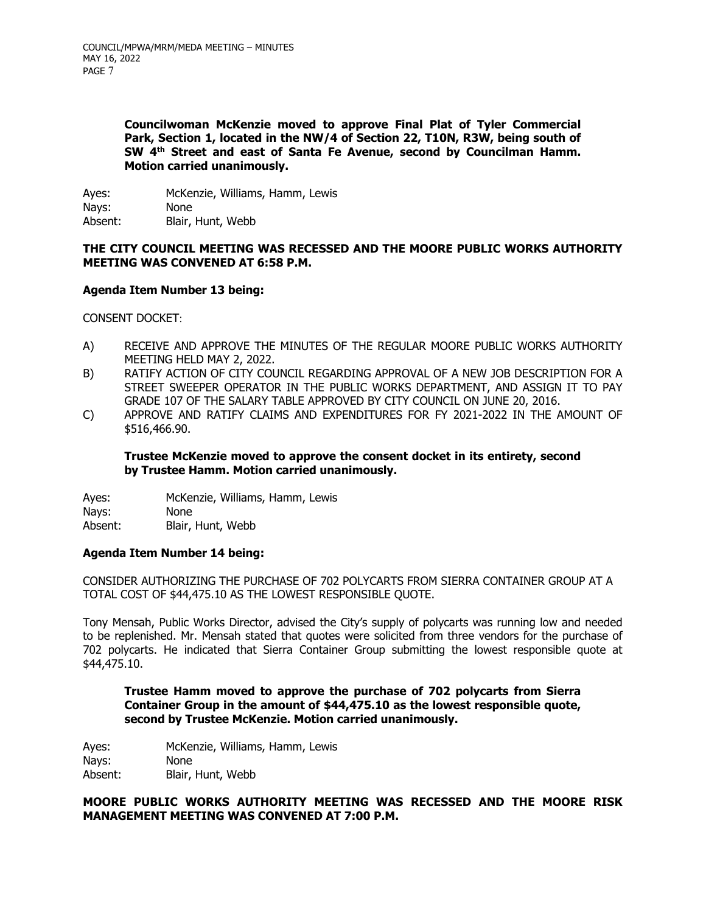**Councilwoman McKenzie moved to approve Final Plat of Tyler Commercial Park, Section 1, located in the NW/4 of Section 22, T10N, R3W, being south of SW 4th Street and east of Santa Fe Avenue, second by Councilman Hamm. Motion carried unanimously.**

Ayes: McKenzie, Williams, Hamm, Lewis Nays: None Absent: Blair, Hunt, Webb

## **THE CITY COUNCIL MEETING WAS RECESSED AND THE MOORE PUBLIC WORKS AUTHORITY MEETING WAS CONVENED AT 6:58 P.M.**

## **Agenda Item Number 13 being:**

CONSENT DOCKET:

- A) RECEIVE AND APPROVE THE MINUTES OF THE REGULAR MOORE PUBLIC WORKS AUTHORITY MEETING HELD MAY 2, 2022.
- B) RATIFY ACTION OF CITY COUNCIL REGARDING APPROVAL OF A NEW JOB DESCRIPTION FOR A STREET SWEEPER OPERATOR IN THE PUBLIC WORKS DEPARTMENT, AND ASSIGN IT TO PAY GRADE 107 OF THE SALARY TABLE APPROVED BY CITY COUNCIL ON JUNE 20, 2016.
- C) APPROVE AND RATIFY CLAIMS AND EXPENDITURES FOR FY 2021-2022 IN THE AMOUNT OF \$516,466.90.

## **Trustee McKenzie moved to approve the consent docket in its entirety, second by Trustee Hamm. Motion carried unanimously.**

Ayes: McKenzie, Williams, Hamm, Lewis Nays: None Absent: Blair, Hunt, Webb

#### **Agenda Item Number 14 being:**

CONSIDER AUTHORIZING THE PURCHASE OF 702 POLYCARTS FROM SIERRA CONTAINER GROUP AT A TOTAL COST OF \$44,475.10 AS THE LOWEST RESPONSIBLE QUOTE.

Tony Mensah, Public Works Director, advised the City's supply of polycarts was running low and needed to be replenished. Mr. Mensah stated that quotes were solicited from three vendors for the purchase of 702 polycarts. He indicated that Sierra Container Group submitting the lowest responsible quote at \$44,475.10.

**Trustee Hamm moved to approve the purchase of 702 polycarts from Sierra Container Group in the amount of \$44,475.10 as the lowest responsible quote, second by Trustee McKenzie. Motion carried unanimously.**

Ayes: McKenzie, Williams, Hamm, Lewis Nays: None Absent: Blair, Hunt, Webb

## **MOORE PUBLIC WORKS AUTHORITY MEETING WAS RECESSED AND THE MOORE RISK MANAGEMENT MEETING WAS CONVENED AT 7:00 P.M.**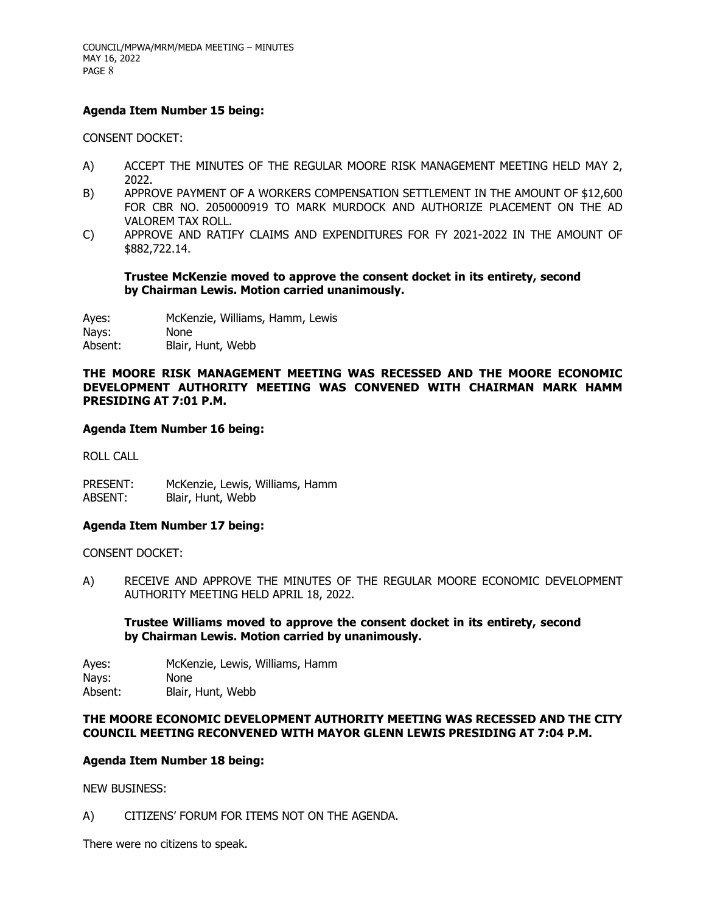## **Agenda Item Number 15 being:**

CONSENT DOCKET:

- A) ACCEPT THE MINUTES OF THE REGULAR MOORE RISK MANAGEMENT MEETING HELD MAY 2, 2022.
- B) APPROVE PAYMENT OF A WORKERS COMPENSATION SETTLEMENT IN THE AMOUNT OF \$12,600 FOR CBR NO. 2050000919 TO MARK MURDOCK AND AUTHORIZE PLACEMENT ON THE AD VALOREM TAX ROLL.
- C) APPROVE AND RATIFY CLAIMS AND EXPENDITURES FOR FY 2021-2022 IN THE AMOUNT OF \$882,722.14.

**Trustee McKenzie moved to approve the consent docket in its entirety, second by Chairman Lewis. Motion carried unanimously.**

Ayes: McKenzie, Williams, Hamm, Lewis

Nays: None

Absent: Blair, Hunt, Webb

**THE MOORE RISK MANAGEMENT MEETING WAS RECESSED AND THE MOORE ECONOMIC DEVELOPMENT AUTHORITY MEETING WAS CONVENED WITH CHAIRMAN MARK HAMM PRESIDING AT 7:01 P.M.** 

#### **Agenda Item Number 16 being:**

ROLL CALL

PRESENT: McKenzie, Lewis, Williams, Hamm ABSENT: Blair, Hunt, Webb

#### **Agenda Item Number 17 being:**

CONSENT DOCKET:

A) RECEIVE AND APPROVE THE MINUTES OF THE REGULAR MOORE ECONOMIC DEVELOPMENT AUTHORITY MEETING HELD APRIL 18, 2022.

## **Trustee Williams moved to approve the consent docket in its entirety, second by Chairman Lewis. Motion carried by unanimously.**

Ayes: McKenzie, Lewis, Williams, Hamm Nays: None Absent: Blair, Hunt, Webb

## **THE MOORE ECONOMIC DEVELOPMENT AUTHORITY MEETING WAS RECESSED AND THE CITY COUNCIL MEETING RECONVENED WITH MAYOR GLENN LEWIS PRESIDING AT 7:04 P.M.**

#### **Agenda Item Number 18 being:**

NEW BUSINESS:

A) CITIZENS' FORUM FOR ITEMS NOT ON THE AGENDA.

There were no citizens to speak.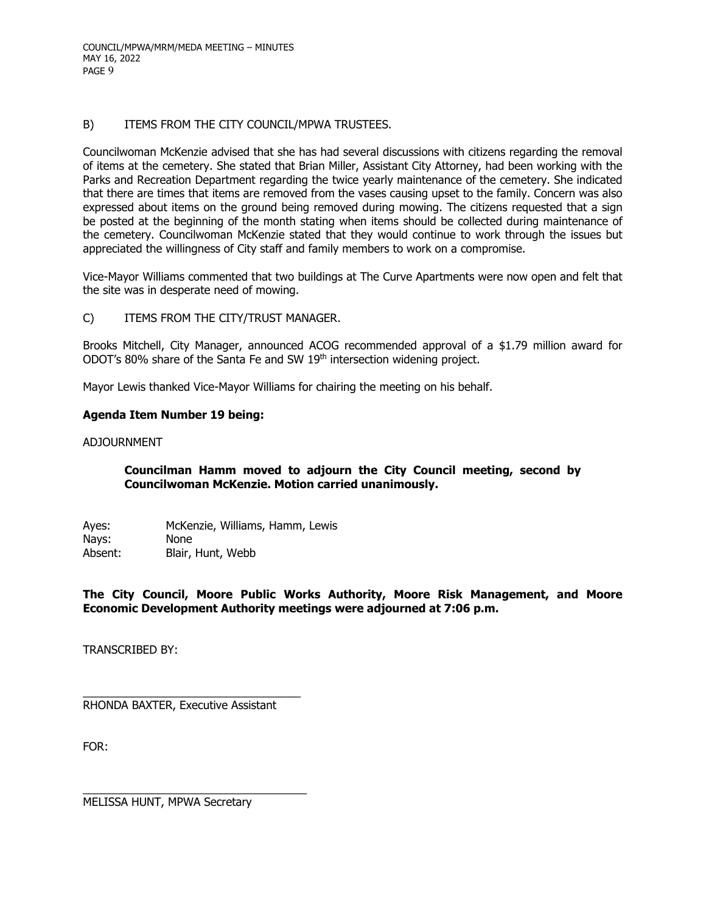COUNCIL/MPWA/MRM/MEDA MEETING – MINUTES MAY 16, 2022 PAGE 9

## B) ITEMS FROM THE CITY COUNCIL/MPWA TRUSTEES.

Councilwoman McKenzie advised that she has had several discussions with citizens regarding the removal of items at the cemetery. She stated that Brian Miller, Assistant City Attorney, had been working with the Parks and Recreation Department regarding the twice yearly maintenance of the cemetery. She indicated that there are times that items are removed from the vases causing upset to the family. Concern was also expressed about items on the ground being removed during mowing. The citizens requested that a sign be posted at the beginning of the month stating when items should be collected during maintenance of the cemetery. Councilwoman McKenzie stated that they would continue to work through the issues but appreciated the willingness of City staff and family members to work on a compromise.

Vice-Mayor Williams commented that two buildings at The Curve Apartments were now open and felt that the site was in desperate need of mowing.

C) ITEMS FROM THE CITY/TRUST MANAGER.

Brooks Mitchell, City Manager, announced ACOG recommended approval of a \$1.79 million award for ODOT's 80% share of the Santa Fe and SW 19<sup>th</sup> intersection widening project.

Mayor Lewis thanked Vice-Mayor Williams for chairing the meeting on his behalf.

#### **Agenda Item Number 19 being:**

ADJOURNMENT

## **Councilman Hamm moved to adjourn the City Council meeting, second by Councilwoman McKenzie. Motion carried unanimously.**

Ayes: McKenzie, Williams, Hamm, Lewis Nays: None Absent: Blair, Hunt, Webb

**The City Council, Moore Public Works Authority, Moore Risk Management, and Moore Economic Development Authority meetings were adjourned at 7:06 p.m.**

TRANSCRIBED BY:

 $\overline{\phantom{a}}$  , and the contract of the contract of  $\overline{\phantom{a}}$ RHONDA BAXTER, Executive Assistant

FOR:

MELISSA HUNT, MPWA Secretary

 $\overline{\phantom{a}}$  , and the contract of the contract of  $\overline{\phantom{a}}$